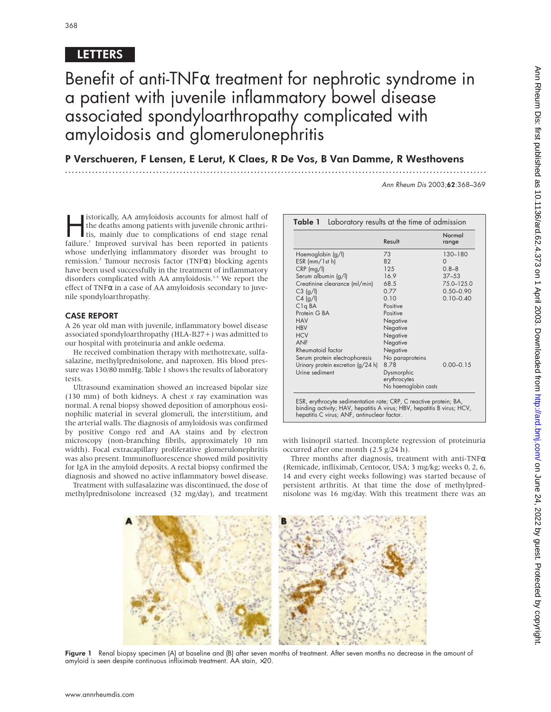# LETTERS

# Benefit of anti-TNF $\alpha$  treatment for nephrotic syndrome in a patient with juvenile inflammatory bowel disease associated spondyloarthropathy complicated with amyloidosis and glomerulonephritis

P Verschueren, F Lensen, E Lerut, K Claes, R De Vos, B Van Damme, R Westhovens .............................................................................................................................

Ann Rheum Dis 2003;62:368–369

**Hence I** istorically, AA amyloidosis accounts for almost half of the deaths among patients with juvenile chronic arthritis, mainly due to complications of end stage renal failure <sup>1</sup> Improved survival has been reported in the deaths among patients with juvenile chronic arthrifailure.<sup>1</sup> Improved survival has been reported in patients whose underlying inflammatory disorder was brought to remission.2 Tumour necrosis factor (TNFα) blocking agents have been used successfully in the treatment of inflammatory disorders complicated with AA amyloidosis.<sup>3-5</sup> We report the effect of TNFα in a case of AA amyloidosis secondary to juvenile spondyloarthropathy.

#### CASE REPORT

A 26 year old man with juvenile, inflammatory bowel disease associated spondyloarthropathy (HLA-B27+) was admitted to our hospital with proteinuria and ankle oedema.

He received combination therapy with methotrexate, sulfasalazine, methylprednisolone, and naproxen. His blood pressure was 130/80 mmHg. Table 1 shows the results of laboratory tests.

Ultrasound examination showed an increased bipolar size (130 mm) of both kidneys. A chest *x* ray examination was normal. A renal biopsy showed deposition of amorphous eosinophilic material in several glomeruli, the interstitium, and the arterial walls. The diagnosis of amyloidosis was confirmed by positive Congo red and AA stains and by electron microscopy (non-branching fibrils, approximately 10 nm width). Focal extracapillary proliferative glomerulonephritis was also present. Immunofluorescence showed mild positivity for IgA in the amyloid deposits. A rectal biopsy confirmed the diagnosis and showed no active inflammatory bowel disease.

Treatment with sulfasalazine was discontinued, the dose of methylprednisolone increased (32 mg/day), and treatment

|                                      | Result               | Normal<br>range |
|--------------------------------------|----------------------|-----------------|
| Haemoglobin (g/l)                    | 73                   | 130-180         |
| $ESR$ (mm/ $1st$ h)                  | 82                   | 0               |
| $CRP$ (mg/l)                         | 125                  | $0.8 - 8$       |
| Serum albumin (g/l)                  | 16.9                 | $37 - 53$       |
| Creatinine clearance (ml/min)        | 68.5                 | 75.0-125.0      |
| C3 (g/l)                             | 0.77                 | $0.50 - 0.90$   |
| C4 (g/l)                             | 0.10                 | $0.10 - 0.40$   |
| C <sub>lq</sub> BA                   | Positive             |                 |
| Protein G BA                         | Positive             |                 |
| <b>HAV</b>                           | Negative             |                 |
| <b>HBV</b>                           | Negative             |                 |
| <b>HCV</b>                           | Negative             |                 |
| <b>ANF</b>                           | Negative             |                 |
| Rheumatoid factor                    | Negative             |                 |
| Serum protein electrophoresis        | No paraproteins      |                 |
| Urinary protein excretion $(g/24 h)$ | 8.78                 | $0.00 - 0.15$   |
| Urine sediment                       | Dysmorphic           |                 |
|                                      | erythrocytes         |                 |
|                                      | No haemoglobin casts |                 |

with lisinopril started. Incomplete regression of proteinuria occurred after one month (2.5 g/24 h).

Three months after diagnosis, treatment with anti-TNFα (Remicade, infliximab, Centocor, USA; 3 mg/kg; weeks 0, 2, 6, 14 and every eight weeks following) was started because of persistent arthritis. At that time the dose of methylprednisolone was 16 mg/day. With this treatment there was an



Figure 1 Renal biopsy specimen (A) at baseline and (B) after seven months of treatment. After seven months no decrease in the amount of amyloid is seen despite continuous infliximab treatment. AA stain, ×20.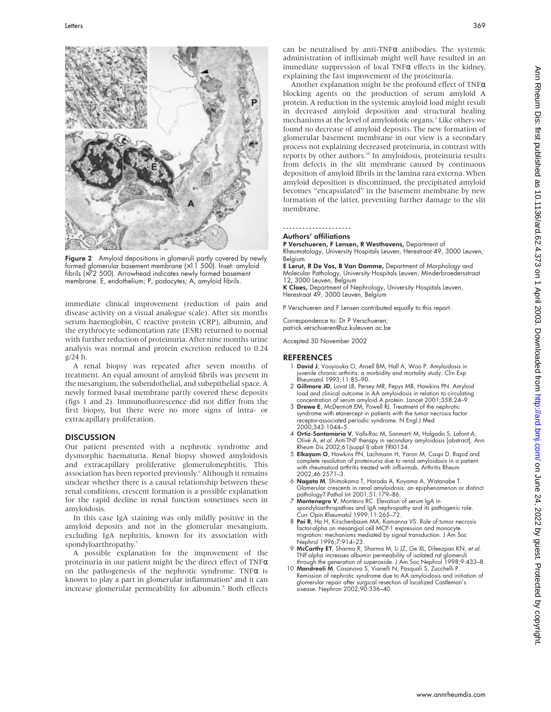

**Figure 2** Amyloid depositions in glomeruli partly covered by newly formed glomerular basement membrane (×11 500). Inset: amyloid fibrils (×72 500). Arrowhead indicates newly formed basement membrane. E, endothelium; P, podocytes; A, amyloid fibrils.

immediate clinical improvement (reduction of pain and disease activity on a visual analogue scale). After six months serum haemoglobin, C reactive protein (CRP), albumin, and the erythrocyte sedimentation rate (ESR) returned to normal with further reduction of proteinuria. After nine months urine analysis was normal and protein excretion reduced to 0.24 g/24 h.

A renal biopsy was repeated after seven months of treatment. An equal amount of amyloid fibrils was present in the mesangium, the subendothelial, and subepithelial space. A newly formed basal membrane partly covered these deposits (figs 1 and 2). Immunofluorescence did not differ from the first biopsy, but there were no more signs of intra- or extracapillary proliferation.

#### **DISCUSSION**

Our patient presented with a nephrotic syndrome and dysmorphic haematuria. Renal biopsy showed amyloidosis and extracapillary proliferative glomerulonephritis. This association has been reported previously.<sup>6</sup> Although it remains unclear whether there is a causal relationship between these renal conditions, crescent formation is a possible explanation for the rapid decline in renal function sometimes seen in amyloidosis.

In this case IgA staining was only mildly positive in the amyloid deposits and not in the glomerular mesangium, excluding IgA nephritis, known for its association with spondyloarthropathy.<sup>7</sup>

A possible explanation for the improvement of the proteinuria in our patient might be the direct effect of TNFα on the pathogenesis of the nephrotic syndrome. TNF $\alpha$  is known to play a part in glomerular inflammation $^s$  and it can increase glomerular permeability for albumin.<sup>9</sup> Both effects

can be neutralised by anti-TNFα antibodies. The systemic administration of infliximab might well have resulted in an immediate suppression of local TNF $\alpha$  effects in the kidney, explaining the fast improvement of the proteinuria.

Another explanation might be the profound effect of TNFα blocking agents on the production of serum amyloid A protein. A reduction in the systemic amyloid load might result in decreased amyloid deposition and structural healing mechanisms at the level of amyloidotic organs.<sup>2</sup> Like others we found no decrease of amyloid deposits. The new formation of glomerular basement membrane in our view is a secondary process not explaining decreased proteinuria, in contrast with reports by other authors.<sup>10</sup> In amyloidosis, proteinuria results from defects in the slit membrane caused by continuous deposition of amyloid fibrils in the lamina rara externa. When amyloid deposition is discontinued, the precipitated amyloid becomes "encapsulated" in the basement membrane by new formation of the latter, preventing further damage to the slit membrane.

#### .....................

#### Authors' affiliations

P Verschueren, F Lensen, R Westhovens, Department of Rheumatology, University Hospitals Leuven, Herestraat 49, 3000 Leuven, Belgium

E Lerut, R De Vos, B Van Damme, Department of Morphology and Molecular Pathology, University Hospitals Leuven, Minderbroedersstraat 12, 3000 Leuven, Belgium K Claes, Department of Nephrology, University Hospitals Leuven,

Herestraat 49, 3000 Leuven, Belgium

P Verschueren and F Lensen contributed equally to this report.

Correspondence to: Dr P Verschueren; patrick.verschueren@uz.kuleuven.ac.be

Accepted 30 November 2002

#### REFERENCES

- David J, Vouyiouka O, Ansell BM, Hall A, Woo P. Amyloidosis in juvenile chronic arthritis: a morbidity and mortality study. Clin Exp Rheumatol 1993;11:85–90.
- 2 Gillmore JD, Lovat LB, Persey MR, Pepys MB, Hawkins PN. Amyloid load and clinical outcome in AA amyloidosis in relation to circulating concentration of serum amyloid A protein. Lancet 2001;358:24–9.
- 3 Drewe E, McDermott EM, Powell RJ. Treatment of the nephrotic syndrome with etanercept in patients with the tumor necrosis factor receptor-associated periodic syndrome. N Engl J Med 2000;343:1044–5.
- 4 Ortiz-Santamaria V, Valls-Roc M, Sanmarti M, Holgado S, Lafont A, Olivé A, et al. Anti-TNF therapy in secondary amyloidosis [abstract]. Ann Rheum Dis 2002;61(suppl I):abstr FRI0134.
- 5 Elkayam O, Hawkins PN, Lachmann H, Yaron M, Caspi D. Rapid and complete resolution of proteinuria due to renal amyloidosis in a patient with rheumatoid arthritis treated with infliximab. Arthritis Rheum 2002;46:2571–3.
- 6 Nagata M, Shimokama T, Harada A, Koyama A, Watanabe T. Glomerular crescents in renal amyloidosis: an epiphenomenon or distinct pathology? Pathol Int 2001;51:179–86.
- Pumology: Tumor in Eco. 75.111<br>7 **Montenegro V**, Monteiro RC. Elevation of serum IgA in spondyloarthropathies and IgA nephropathy and its pathogenic role. Curr Opin Rheumatol 1999;11:265–72.
- 8 Pai R, Ha H, Kirschenbaum MA, Kamanna VS. Role of tumor necrosis factor-alpha on mesangial cell MCP-1 expression and monocyte migration: mechanisms mediated by signal transduction. J Am Soc Nephrol 1996;7:914–23.
- McCarthy ET, Sharma R, Sharma M, Li JZ, Ge XL, Dileezpan KN, et al. TNF-alpha increases albumin permeability of isolated rat glomeruli through the generation of superoxide. J Am Soc Nephrol 1998;9:433–8.
- 10 Mandreoli M, Casanova S, Vianelli N, Pasquali S, Zucchelli P. Remission of nephrotic syndrome due to AA amyloidosis and initiation of glomerular repair after surgical resection of localized Castleman's sisease. Nephron 2002;90:336–40.

Ann Rheum Dis: first published as 10.1136/ard.62.4.373 on 1 April 2003. Downloaded from http://ard.bmj.com/ on June 24, 2022 by guest. Protected by copyright Ann Rheum Dis: first published as 10.1136/ard.62.4.372 on 114 April 2003: Downloaded and April 2003: April 2002. Dy Sublished as 10.114. Dis: first published as 10.1136/ard. Protected by guests and the from 24, 2022 by gue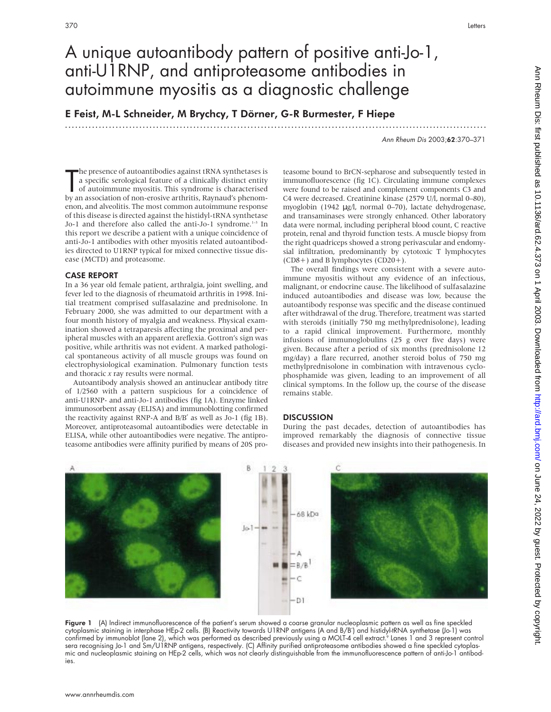# A unique autoantibody pattern of positive anti-Jo-1, anti-U1RNP, and antiproteasome antibodies in autoimmune myositis as a diagnostic challenge

E Feist, M-L Schneider, M Brychcy, T Dörner, G-R Burmester, F Hiepe

.............................................................................................................................

Ann Rheum Dis 2003;62:370–371

The presence of autoantibodies against tRNA synthetases is<br>a specific serological feature of a clinically distinct entity<br>of autoimmune myositis. This syndrome is characterised<br>by an association of non-erosive arthritis, R he presence of autoantibodies against tRNA synthetases is a specific serological feature of a clinically distinct entity of autoimmune myositis. This syndrome is characterised enon, and alveolitis. The most common autoimmune response of this disease is directed against the histidyl-tRNA synthetase Jo-1 and therefore also called the anti-Jo-1 syndrome.<sup>1-3</sup> In this report we describe a patient with a unique coincidence of anti-Jo-1 antibodies with other myositis related autoantibodies directed to U1RNP typical for mixed connective tissue disease (MCTD) and proteasome.

#### CASE REPORT

In a 36 year old female patient, arthralgia, joint swelling, and fever led to the diagnosis of rheumatoid arthritis in 1998. Initial treatment comprised sulfasalazine and prednisolone. In February 2000, she was admitted to our department with a four month history of myalgia and weakness. Physical examination showed a tetraparesis affecting the proximal and peripheral muscles with an apparent areflexia. Gottron's sign was positive, while arthritis was not evident. A marked pathological spontaneous activity of all muscle groups was found on electrophysiological examination. Pulmonary function tests and thoracic *x* ray results were normal.

Autoantibody analysis showed an antinuclear antibody titre of 1/2560 with a pattern suspicious for a coincidence of anti-U1RNP- and anti-Jo-1 antibodies (fig 1A). Enzyme linked immunosorbent assay (ELISA) and immunoblotting confirmed the reactivity against RNP-A and B/B′ as well as Jo-1 (fig 1B). Moreover, antiproteasomal autoantibodies were detectable in ELISA, while other autoantibodies were negative. The antiproteasome antibodies were affinity purified by means of 20S proteasome bound to BrCN-sepharose and subsequently tested in immunofluorescence (fig 1C). Circulating immune complexes were found to be raised and complement components C3 and C4 were decreased. Creatinine kinase (2579 U/l, normal 0–80), myoglobin (1942 µg/l, normal 0–70), lactate dehydrogenase, and transaminases were strongly enhanced. Other laboratory data were normal, including peripheral blood count, C reactive protein, renal and thyroid function tests. A muscle biopsy from the right quadriceps showed a strong perivascular and endomysial infiltration, predominantly by cytotoxic T lymphocytes (CD8+) and B lymphocytes (CD20+).

The overall findings were consistent with a severe autoimmune myositis without any evidence of an infectious, malignant, or endocrine cause. The likelihood of sulfasalazine induced autoantibodies and disease was low, because the autoantibody response was specific and the disease continued after withdrawal of the drug. Therefore, treatment was started with steroids (initially 750 mg methylprednisolone), leading to a rapid clinical improvement. Furthermore, monthly infusions of immunoglobulins (25 g over five days) were given. Because after a period of six months (prednisolone 12 mg/day) a flare recurred, another steroid bolus of 750 mg methylprednisolone in combination with intravenous cyclophosphamide was given, leading to an improvement of all clinical symptoms. In the follow up, the course of the disease remains stable.

#### **DISCUSSION**

During the past decades, detection of autoantibodies has improved remarkably the diagnosis of connective tissue diseases and provided new insights into their pathogenesis. In



Figure 1 (A) Indirect immunofluorescence of the patient's serum showed a coarse granular nucleoplasmic pattern as well as fine speckled cytoplasmic staining in interphase HEp-2 cells. (B) Reactivity towards U1RNP antigens (A and B/B′) and histidyl-tRNA synthetase (Jo-1) was confirmed by immunoblot (lane 2), which was performed as described previously using a MOLT-4 cell extract.° Lanes 1 and 3 represent control sera recognising Jo-1 and Sm/U1RNP antigens, respectively. (C) Affinity purified antiproteasome antibodies showed a fine speckled cytoplasmic and nucleoplasmic staining on HEp-2 cells, which was not clearly distinguishable from the immunofluorescence pattern of anti-Jo-1 antibodies.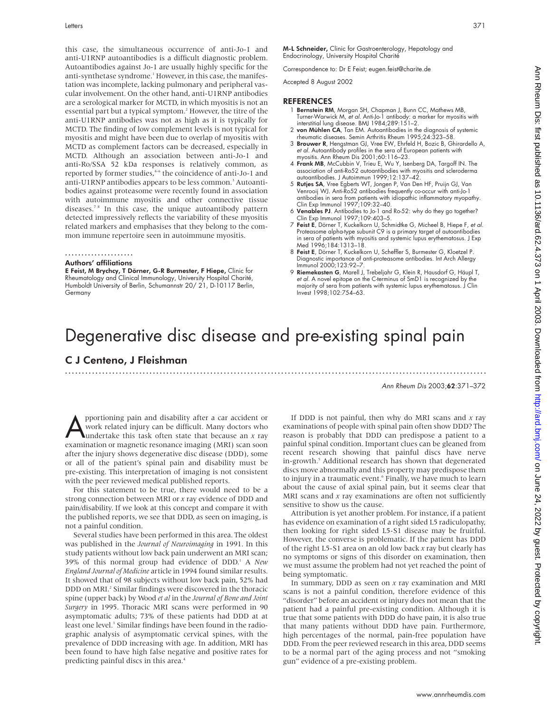this case, the simultaneous occurrence of anti-Jo-1 and anti-U1RNP autoantibodies is a difficult diagnostic problem. Autoantibodies against Jo-1 are usually highly specific for the anti-synthetase syndrome.<sup>1</sup> However, in this case, the manifestation was incomplete, lacking pulmonary and peripheral vascular involvement. On the other hand, anti-U1RNP antibodies are a serological marker for MCTD, in which myositis is not an essential part but a typical symptom.<sup>2</sup> However, the titre of the anti-U1RNP antibodies was not as high as it is typically for MCTD. The finding of low complement levels is not typical for myositis and might have been due to overlap of myositis with MCTD as complement factors can be decreased, especially in MCTD. Although an association between anti-Jo-1 and anti-Ro/SSA 52 kDa responses is relatively common, as reported by former studies,<sup>4-6</sup> the coincidence of anti-Jo-1 and anti-U1RNP antibodies appears to be less common.<sup>3</sup> Autoantibodies against proteasome were recently found in association with autoimmune myositis and other connective tissue diseases.<sup>78</sup> In this case, the unique autoantibody pattern detected impressively reflects the variability of these myositis related markers and emphasises that they belong to the common immune repertoire seen in autoimmune myositis.

### .....................

Authors' affiliations

**E Feist, M Brychcy, T Dörner, G-R Burmester, F Hiepe,** Clinic for<br>Rheumatology and Clinical Immunology, University Hospital Charité, Humboldt University of Berlin, Schumannstr 20/ 21, D-10117 Berlin, Germany

Correspondence to: Dr E Feist; eugen.feist@charite.de

Accepted 8 August 2002

#### REFERENCES

- 1 Bernstein RM, Morgan SH, Chapman J, Bunn CC, Mathews MB, Turner-Warwick M, et al. Anti-Jo-1 antibody: a marker for myositis with interstitial lung disease. BMJ 1984;289:151–2.
- 2 von Mühlen CA, Tan EM. Autoantibodies in the diagnosis of systemic rheumatic diseases. Semin Arthritis Rheum 1995;24:323–58.
- 3 Brouwer R, Hengstman GJ, Vree EW, Ehrfeld H, Bozic B, Ghirardello A, et al. Autoantibody profiles in the sera of European patients with myositis. Ann Rheum Dis 2001;60:116–23.
- 4 Frank MB, McCubbin V, Trieu E, Wu Y, Isenberg DA, Targoff IN. The association of anti-Ro52 autoantibodies with myositis and scleroderma autoantibodies. J Autoimmun 1999;12:137–42.
- 5 Rutjes SA, Vree Egberts WT, Jongen P, Van Den HF, Pruijn GJ, Van Venrooij WJ. Anti-Ro52 antibodies frequently co-occur with anti-Jo-1 antibodies in sera from patients with idiopathic inflammatory myopathy. Clin Exp Immunol 1997;109:32–40.
- 6 Venables PJ. Antibodies to Jo-1 and Ro-52: why do they go together? Clin Exp Immunol 1997;109:403–5.
- 7 Feist E, Dörner T, Kuckelkorn U, Schmidtke G, Micheel B, Hiepe F, et al. Proteasome alpha-type subunit C9 is a primary target of autoantibodies in sera of patients with myositis and systemic lupus erythematosus. J Exp Med 1996;184:1313–18.
- 8 Feist E, Dörner T, Kuckelkorn U, Scheffler S, Burmester G, Kloetzel P. Diagnostic importance of anti-proteasome antibodies. Int Arch Allergy Immunol 2000;123:92–7.
- 9 Riemekasten G, Marell J, Trebeljahr G, Klein R, Hausdorf G, Häupl T, et al. A novel epitope on the C-terminus of SmD1 is recognized by the majority of sera from patients with systemic lupus erythematosus. J Clin Invest 1998;102:754–63.

# Degenerative disc disease and pre-existing spinal pain

.............................................................................................................................

### C J Centeno, J Fleishman

Ann Rheum Dis 2003;62:371–372

**A** pportioning pain and disability after a car accident or work related injury can be difficult. Many doctors who undertake this task often state that because an *x* ray examination or magnetic recononce imaging (MPI) can work related injury can be difficult. Many doctors who examination or magnetic resonance imaging (MRI) scan soon after the injury shows degenerative disc disease (DDD), some or all of the patient's spinal pain and disability must be pre-existing. This interpretation of imaging is not consistent with the peer reviewed medical published reports.

For this statement to be true, there would need to be a strong connection between MRI or *x* ray evidence of DDD and pain/disability. If we look at this concept and compare it with the published reports, we see that DDD, as seen on imaging, is not a painful condition.

Several studies have been performed in this area. The oldest was published in the *Journal of Neuroimaging* in 1991. In this study patients without low back pain underwent an MRI scan; 39% of this normal group had evidence of DDD.1 A *New England Journal of Medicine* article in 1994 found similar results. It showed that of 98 subjects without low back pain, 52% had DDD on MRI.2 Similar findings were discovered in the thoracic spine (upper back) by Wood *et al* in the *Journal of Bone and Joint Surgery* in 1995. Thoracic MRI scans were performed in 90 asymptomatic adults; 73% of these patients had DDD at at least one level.<sup>3</sup> Similar findings have been found in the radiographic analysis of asymptomatic cervical spines, with the prevalence of DDD increasing with age. In addition, MRI has been found to have high false negative and positive rates for predicting painful discs in this area.<sup>4</sup>

If DDD is not painful, then why do MRI scans and *x* ray examinations of people with spinal pain often show DDD? The reason is probably that DDD can predispose a patient to a painful spinal condition. Important clues can be gleaned from recent research showing that painful discs have nerve in-growth.<sup>5</sup> Additional research has shown that degenerated discs move abnormally and this property may predispose them to injury in a traumatic event.<sup>6</sup> Finally, we have much to learn about the cause of axial spinal pain, but it seems clear that MRI scans and *x* ray examinations are often not sufficiently sensitive to show us the cause.

Attribution is yet another problem. For instance, if a patient has evidence on examination of a right sided L5 radiculopathy, then looking for right sided L5-S1 disease may be fruitful. However, the converse is problematic. If the patient has DDD of the right L5-S1 area on an old low back *x* ray but clearly has no symptoms or signs of this disorder on examination, then we must assume the problem had not yet reached the point of being symptomatic.

In summary, DDD as seen on *x* ray examination and MRI scans is not a painful condition, therefore evidence of this "disorder" before an accident or injury does not mean that the patient had a painful pre-existing condition. Although it is true that some patients with DDD do have pain, it is also true that many patients without DDD have pain. Furthermore, high percentages of the normal, pain-free population have DDD. From the peer reviewed research in this area, DDD seems to be a normal part of the aging process and not "smoking gun" evidence of a pre-existing problem.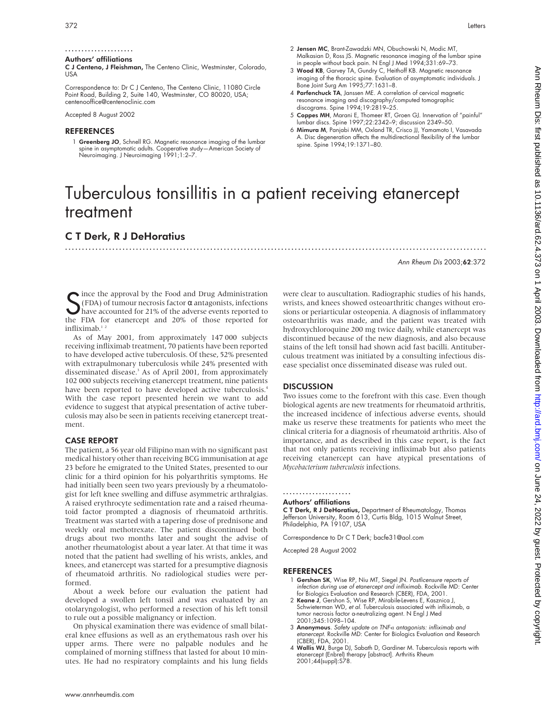### Authors' affiliations

C J Centeno, J Fleishman, The Centeno Clinic, Westminster, Colorado, USA

Correspondence to: Dr C J Centeno, The Centeno Clinic, 11080 Circle Point Road, Building 2, Suite 140, Westminster, CO 80020, USA; centenooffice@centenoclinic.com

Accepted 8 August 2002

#### REFERENCES

1 Greenberg JO, Schnell RG. Magnetic resonance imaging of the lumbar spine in asymptomatic adults. Cooperative study—American Society of Neuroimaging. J Neuroimaging 1991;1:2–7.

- 2 Jensen MC, Brant-Zawadzki MN, Obuchowski N, Modic MT, Malkasian D, Ross JS. Magnetic resonance imaging of the lumbar spine in people without back pain. N Engl J Med 1994;331:69–73.
- 3 Wood KB, Garvey TA, Gundry C, Heithoff KB. Magnetic resonance imaging of the thoracic spine. Evaluation of asymptomatic individuals. J Bone Joint Surg Am 1995;77:1631–8.
- 4 Parfenchuck TA, Janssen ME. A correlation of cervical magnetic resonance imaging and discography/computed tomographic discograms. Spine 1994;19:2819–25.
- 5 Coppes MH, Marani E, Thomeer RT, Groen GJ. Innervation of "painful" lumbar discs. Spine 1997;22:2342–9; discussion 2349–50.
- 6 Mimura M, Panjabi MM, Oxland TR, Crisco JJ, Yamamoto I, Vasavada A. Disc degeneration affects the multidirectional flexibility of the lumbar spine. Spine 1994;19:1371–80.

# Tuberculous tonsillitis in a patient receiving etanercept treatment

.............................................................................................................................

## C T Derk, R J DeHoratius

Ann Rheum Dis 2003;62:372

S ince the approval by the Food and Drug Administration<br>
(FDA) of tumour necrosis factor  $\alpha$  antagonists, infections<br>
have accounted for 21% of the adverse events reported to<br>
the FDA for etanercent and 20% of those repo (FDA) of tumour necrosis factor  $\alpha$  antagonists, infections have accounted for 21% of the adverse events reported to the FDA for etanercept and 20% of those reported for infliximab. $12$ 

As of May 2001, from approximately 147 000 subjects receiving infliximab treatment, 70 patients have been reported to have developed active tuberculosis. Of these, 52% presented with extrapulmonary tuberculosis while 24% presented with disseminated disease.<sup>3</sup> As of April 2001, from approximately 102 000 subjects receiving etanercept treatment, nine patients have been reported to have developed active tuberculosis.<sup>4</sup> With the case report presented herein we want to add evidence to suggest that atypical presentation of active tuberculosis may also be seen in patients receiving etanercept treatment.

#### CASE REPORT

The patient, a 56 year old Filipino man with no significant past medical history other than receiving BCG immunisation at age 23 before he emigrated to the United States, presented to our clinic for a third opinion for his polyarthritis symptoms. He had initially been seen two years previously by a rheumatologist for left knee swelling and diffuse asymmetric arthralgias. A raised erythrocyte sedimentation rate and a raised rheumatoid factor prompted a diagnosis of rheumatoid arthritis. Treatment was started with a tapering dose of prednisone and weekly oral methotrexate. The patient discontinued both drugs about two months later and sought the advise of another rheumatologist about a year later. At that time it was noted that the patient had swelling of his wrists, ankles, and knees, and etanercept was started for a presumptive diagnosis of rheumatoid arthritis. No radiological studies were performed.

About a week before our evaluation the patient had developed a swollen left tonsil and was evaluated by an otolaryngologist, who performed a resection of his left tonsil to rule out a possible malignancy or infection.

On physical examination there was evidence of small bilateral knee effusions as well as an erythematous rash over his upper arms. There were no palpable nodules and he complained of morning stiffness that lasted for about 10 minutes. He had no respiratory complaints and his lung fields were clear to auscultation. Radiographic studies of his hands, wrists, and knees showed osteoarthritic changes without erosions or periarticular osteopenia. A diagnosis of inflammatory osteoarthritis was made, and the patient was treated with hydroxychloroquine 200 mg twice daily, while etanercept was discontinued because of the new diagnosis, and also because stains of the left tonsil had shown acid fast bacilli. Antituberculous treatment was initiated by a consulting infectious disease specialist once disseminated disease was ruled out.

### DISCUSSION

Two issues come to the forefront with this case. Even though biological agents are new treatments for rheumatoid arthritis, the increased incidence of infectious adverse events, should make us reserve these treatments for patients who meet the clinical criteria for a diagnosis of rheumatoid arthritis. Also of importance, and as described in this case report, is the fact that not only patients receiving infliximab but also patients receiving etanercept can have atypical presentations of *Mycobacterium tuberculosis* infections.

.....................

### Authors' affiliations

C T Derk, R J DeHoratius, Department of Rheumatology, Thomas Jefferson University, Room 613, Curtis Bldg, 1015 Walnut Street, Philadelphia, PA 19107, USA

Correspondence to Dr C T Derk; bacfe31@aol.com

Accepted 28 August 2002

#### REFERENCES

- 1 Gershon SK, Wise RP, Niu MT, Siegel JN. Postlicensure reports of infection during use of etanercept and infliximab. Rockville MD: Center for Biologics Evaluation and Research (CBER), FDA, 2001.
- 2 Keane J, Gershon S, Wise RP, Mirabile-Levens E, Kasznica J, Schwieterman WD, et al. Tuberculosis associated with infliximab, a tumor necrosis factor a-neutralizing agent. N Engl J Med 2001;345:1098–104.
- 3 Anonymous. Safety update on TNF-a antagonists: infliximab and<br>etanercept. Rockville MD: Center for Biologics Evaluation and Research (CBER), FDA, 2001.
- 4 Wallis WJ, Burge DJ, Sabath D, Gardiner M. Tuberculosis reports with etanercept (Enbrel) therapy [abstract]. Arthritis Rheum 2001;44(suppl):S78.

Ann Rheum Dis: first published as 10.1136/ard.62.4.373 on 1 April 2003. Downloaded from http://ard.bmj.com/ on June 24, 2022 by guest. Protected by copyright Ann Rheum Dis: first published as 10.1136/ard.62.4.372 on 114 April 2003: Downloaded and April 2003: April 2002. Dy Sublished as 10.114. Dis: first published as 10.1136/ard. Protected by guests and the from 24, 2022 by gue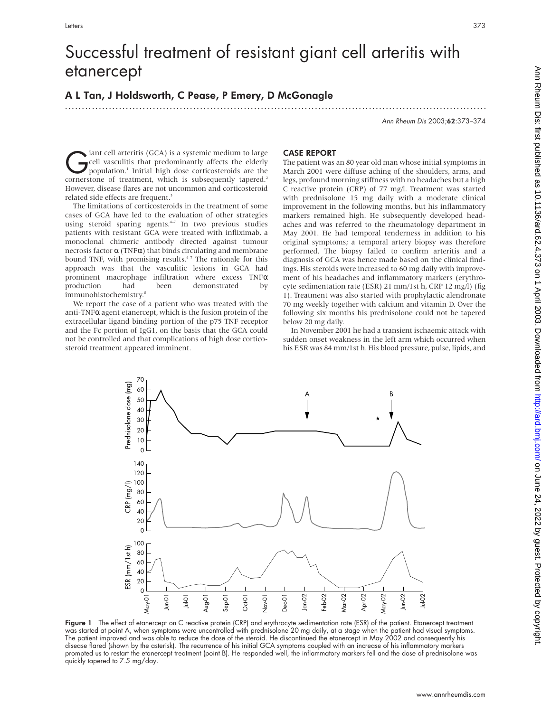# Successful treatment of resistant giant cell arteritis with etanercept

### A L Tan, J Holdsworth, C Pease, P Emery, D McGonagle

.............................................................................................................................

Ann Rheum Dis 2003;62:373–374

**C**iant cell arteritis (GCA) is a systemic medium to large<br>cell vasculitis that predominantly affects the elderly<br>population.<sup>1</sup> Initial high dose corticosteroids are the<br>cornerstone of treatment which is subsequently tape cell vasculitis that predominantly affects the elderly population.1 Initial high dose corticosteroids are the cornerstone of treatment, which is subsequently tapered.<sup>2</sup> However, disease flares are not uncommon and corticosteroid related side effects are frequent.<sup>3</sup>

The limitations of corticosteroids in the treatment of some cases of GCA have led to the evaluation of other strategies using steroid sparing agents.<sup>4-7</sup> In two previous studies patients with resistant GCA were treated with infliximab, a monoclonal chimeric antibody directed against tumour necrosis factor  $\alpha$  (TNFα) that binds circulating and membrane bound TNF, with promising results.<sup>67</sup> The rationale for this approach was that the vasculitic lesions in GCA had prominent macrophage infiltration where excess TNFα production had been demonstrated by immunohistochemistry.<sup>8</sup>

We report the case of a patient who was treated with the anti-TNFα agent etanercept, which is the fusion protein of the extracellular ligand binding portion of the p75 TNF receptor and the Fc portion of IgG1, on the basis that the GCA could not be controlled and that complications of high dose corticosteroid treatment appeared imminent.

#### CASE REPORT

The patient was an 80 year old man whose initial symptoms in March 2001 were diffuse aching of the shoulders, arms, and legs, profound morning stiffness with no headaches but a high C reactive protein (CRP) of 77 mg/l. Treatment was started with prednisolone 15 mg daily with a moderate clinical improvement in the following months, but his inflammatory markers remained high. He subsequently developed headaches and was referred to the rheumatology department in May 2001. He had temporal tenderness in addition to his original symptoms; a temporal artery biopsy was therefore performed. The biopsy failed to confirm arteritis and a diagnosis of GCA was hence made based on the clinical findings. His steroids were increased to 60 mg daily with improvement of his headaches and inflammatory markers (erythrocyte sedimentation rate (ESR) 21 mm/1st h, CRP 12 mg/l) (fig 1). Treatment was also started with prophylactic alendronate 70 mg weekly together with calcium and vitamin D. Over the following six months his prednisolone could not be tapered below 20 mg daily.

In November 2001 he had a transient ischaemic attack with sudden onset weakness in the left arm which occurred when his ESR was 84 mm/1st h. His blood pressure, pulse, lipids, and



Figure 1 The effect of etanercept on C reactive protein (CRP) and erythrocyte sedimentation rate (ESR) of the patient. Etanercept treatment was started at point A, when symptoms were uncontrolled with prednisolone 20 mg daily, at a stage when the patient had visual symptoms. The patient improved and was able to reduce the dose of the steroid. He discontinued the etanercept in May 2002 and consequently his disease flared (shown by the asterisk). The recurrence of his initial GCA symptoms coupled with an increase of his inflammatory markers prompted us to restart the etanercept treatment (point B). He responded well, the inflammatory markers fell and the dose of prednisolone was quickly tapered to 7.5 mg/day.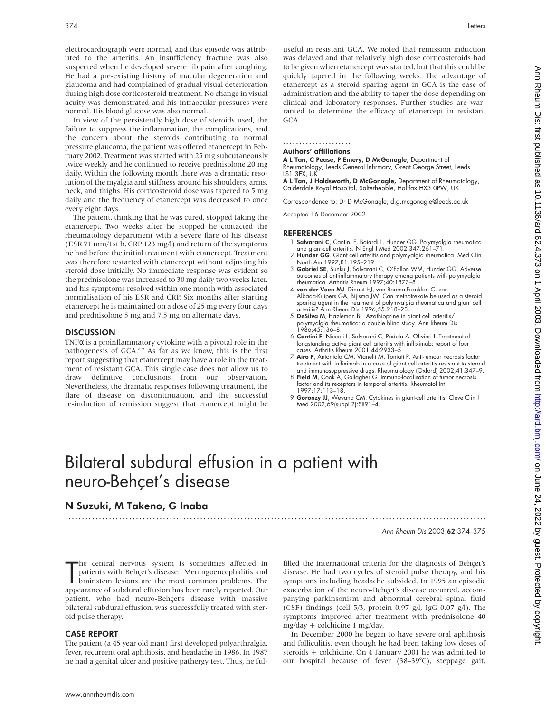electrocardiograph were normal, and this episode was attributed to the arteritis. An insufficiency fracture was also suspected when he developed severe rib pain after coughing. He had a pre-existing history of macular degeneration and glaucoma and had complained of gradual visual deterioration during high dose corticosteroid treatment. No change in visual acuity was demonstrated and his intraocular pressures were normal. His blood glucose was also normal.

In view of the persistently high dose of steroids used, the failure to suppress the inflammation, the complications, and the concern about the steroids contributing to normal pressure glaucoma, the patient was offered etanercept in February 2002. Treatment was started with 25 mg subcutaneously twice weekly and he continued to receive prednisolone 20 mg daily. Within the following month there was a dramatic resolution of the myalgia and stiffness around his shoulders, arms, neck, and thighs. His corticosteroid dose was tapered to 5 mg daily and the frequency of etanercept was decreased to once every eight days.

The patient, thinking that he was cured, stopped taking the etanercept. Two weeks after he stopped he contacted the rheumatology department with a severe flare of his disease (ESR 71 mm/1st h, CRP 123 mg/l) and return of the symptoms he had before the initial treatment with etanercept. Treatment was therefore restarted with etanercept without adjusting his steroid dose initially. No immediate response was evident so the prednisolone was increased to 30 mg daily two weeks later, and his symptoms resolved within one month with associated normalisation of his ESR and CRP. Six months after starting etanercept he is maintained on a dose of 25 mg every four days and prednisolone 5 mg and 7.5 mg on alternate days.

#### **DISCUSSION**

TNF $\alpha$  is a proinflammatory cytokine with a pivotal role in the pathogenesis of GCA.<sup>8</sup> <sup>9</sup> As far as we know, this is the first report suggesting that etanercept may have a role in the treatment of resistant GCA. This single case does not allow us to draw definitive conclusions from our observation. Nevertheless, the dramatic responses following treatment, the flare of disease on discontinuation, and the successful re-induction of remission suggest that etanercept might be

useful in resistant GCA. We noted that remission induction was delayed and that relatively high dose corticosteroids had to be given when etanercept was started, but that this could be quickly tapered in the following weeks. The advantage of etanercept as a steroid sparing agent in GCA is the ease of administration and the ability to taper the dose depending on clinical and laboratory responses. Further studies are warranted to determine the efficacy of etanercept in resistant GCA.

.....................

### Authors' affiliations

A L Tan, C Pease, P Emery, D McGonagle, Department of Rheumatology, Leeds General Infirmary, Great George Street, Leeds LS1 3EX, UK

A L Tan, J Holdsworth, D McGonagle, Department of Rheumatology, Calderdale Royal Hospital, Salterhebble, Halifax HX3 0PW, UK

Correspondence to: Dr D McGonagle; d.g.mcgonagle@leeds.ac.uk

Accepted 16 December 2002

#### **REFERENCES**

- 1 Salvarani C, Cantini F, Boiardi L, Hunder GG. Polymyalgia rheumatica and giant-cell arteritis. N Engl J Med 2002;347:261–71.
- 2 Hunder GG. Giant cell arteritis and polymyalgia rheumatica. Med Clin North Am 1997;81:195–219.
- 3 Gabriel SE, Sunku J, Salvarani C, O'Fallon WM, Hunder GG. Adverse outcomes of antiinflammatory therapy among patients with polymyalgia rheumatica. Arthritis Rheum 1997;40:1873–8.
- 4 van der Veen MJ, Dinant HJ, van Booma-Frankfort C, van Albada-Kuipers GA, Bijlsma JW. Can methotrexate be used as a steroid sparing agent in the treatment of polymyalgia rheumatica and giant cell arteritis? Ann Rheum Dis 1996;55:218–23.
- 5 DeSilva M, Hazleman BL. Azathioprine in giant cell arteritis/ polymyalgia rheumatica: a double blind study. Ann Rheum Dis 1986;45:136–8.
- 6 Cantini F, Niccoli L, Salvarani C, Padula A, Olivieri I. Treatment of longstanding active giant cell arteritis with infliximab: report of four cases. Arthritis Rheum 2001;44:2933–5.
- 7 Airo P, Antoniolo CM, Vianelli M, Toniati P. Anti-tumour necrosis factor treatment with infliximab in a case of giant cell arteritis resistant to steroid and immunosuppressive drugs. Rheumatology (Oxford) 2002;41:347–9. 8 Field M, Cook A, Gallagher G. Immuno-localisation of tumor necrosis
- factor and its receptors in temporal arteritis. Rheumatol Int 1997;17:113–18.
- 9 Goronzy JJ, Weyand CM. Cytokines in giant-cell arteritis. Cleve Clin J Med 2002;69(suppl 2):SII91–4.

# Bilateral subdural effusion in a patient with neuro-Behçet's disease

.............................................................................................................................

#### N Suzuki, M Takeno, G Inaba

Ann Rheum Dis 2003;62:374–375

The central nervous system is sometimes affected in patients with Behçet's disease.<sup>1</sup> Meningoencephalitis and brainstem lesions are the most common problems. The appearance of subdural effusion has been rarely reported. O he central nervous system is sometimes affected in patients with Behçet's disease.<sup>1</sup> Meningoencephalitis and brainstem lesions are the most common problems. The patient, who had neuro-Behçet's disease with massive bilateral subdural effusion, was successfully treated with steroid pulse therapy.

#### CASE REPORT

The patient (a 45 year old man) first developed polyarthralgia, fever, recurrent oral aphthosis, and headache in 1986. In 1987 he had a genital ulcer and positive pathergy test. Thus, he fulfilled the international criteria for the diagnosis of Behçet's disease. He had two cycles of steroid pulse therapy, and his symptoms including headache subsided. In 1995 an episodic exacerbation of the neuro-Behçet's disease occurred, accompanying parkinsonism and abnormal cerebral spinal fluid (CSF) findings (cell 5/3, protein 0.97 g/l, IgG 0.07 g/l). The symptoms improved after treatment with prednisolone 40 mg/day + colchicine 1 mg/day.

In December 2000 he began to have severe oral aphthosis and folliculitis, even though he had been taking low doses of steroids + colchicine. On 4 January 2001 he was admitted to our hospital because of fever (38–39°C), steppage gait,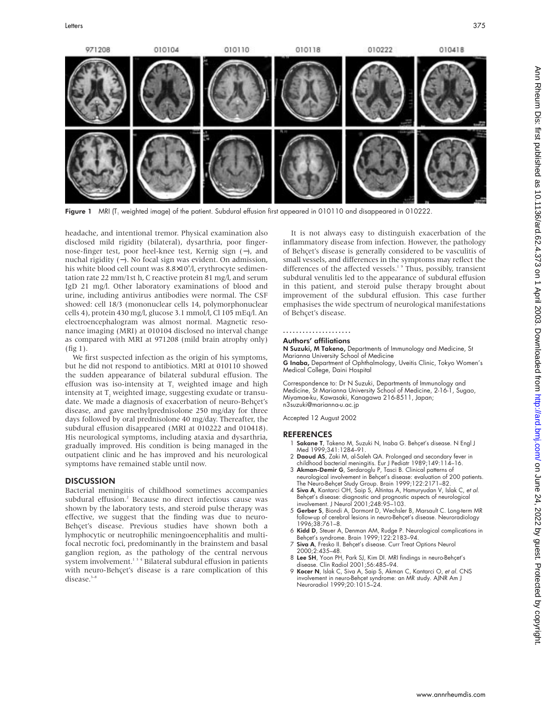

Figure 1 MRI (T<sub>1</sub> weighted image) of the patient. Subdural effusion first appeared in 010110 and disappeared in 010222.

headache, and intentional tremor. Physical examination also disclosed mild rigidity (bilateral), dysarthria, poor fingernose-finger test, poor heel-knee test, Kernig sign (−), and nuchal rigidity (−). No focal sign was evident. On admission, his white blood cell count was 8.8×10<sup>9</sup>/l, erythrocyte sedimentation rate 22 mm/1st h, C reactive protein 81 mg/l, and serum IgD 21 mg/l. Other laboratory examinations of blood and urine, including antivirus antibodies were normal. The CSF showed: cell 18/3 (mononuclear cells 14, polymorphonuclear cells 4), protein 430 mg/l, glucose 3.1 mmol/l, Cl 105 mEq/l. An electroencephalogram was almost normal. Magnetic resonance imaging (MRI) at 010104 disclosed no interval change as compared with MRI at 971208 (mild brain atrophy only) (fig 1).

We first suspected infection as the origin of his symptoms, but he did not respond to antibiotics. MRI at 010110 showed the sudden appearance of bilateral subdural effusion. The effusion was iso-intensity at  $T<sub>1</sub>$  weighted image and high intensity at T, weighted image, suggesting exudate or transudate. We made a diagnosis of exacerbation of neuro-Behçet's disease, and gave methylprednisolone 250 mg/day for three days followed by oral prednisolone 40 mg/day. Thereafter, the subdural effusion disappeared (MRI at 010222 and 010418). His neurological symptoms, including ataxia and dysarthria, gradually improved. His condition is being managed in the outpatient clinic and he has improved and his neurological symptoms have remained stable until now.

#### **DISCUSSION**

Bacterial meningitis of childhood sometimes accompanies subdural effusion.<sup>2</sup> Because no direct infectious cause was shown by the laboratory tests, and steroid pulse therapy was effective, we suggest that the finding was due to neuro-Behçet's disease. Previous studies have shown both a lymphocytic or neutrophilic meningoencephalitis and multifocal necrotic foci, predominantly in the brainstem and basal ganglion region, as the pathology of the central nervous system involvement.<sup>134</sup> Bilateral subdural effusion in patients with neuro-Behçet's disease is a rare complication of this disease.<sup>3–8</sup>

It is not always easy to distinguish exacerbation of the inflammatory disease from infection. However, the pathology of Behçet's disease is generally considered to be vasculitis of small vessels, and differences in the symptoms may reflect the differences of the affected vessels.<sup>19</sup> Thus, possibly, transient subdural venulitis led to the appearance of subdural effusion in this patient, and steroid pulse therapy brought about improvement of the subdural effusion. This case further emphasises the wide spectrum of neurological manifestations of Behçet's disease.

#### .....................

#### Authors' affiliations

N Suzuki, M Takeno, Departments of Immunology and Medicine, St Marianna University School of Medicine

G Inaba, Department of Ophthalmology, Uveitis Clinic, Tokyo Women's Medical College, Daini Hospital

Correspondence to: Dr N Suzuki, Departments of Immunology and Medicine, St Marianna University School of Medicine, 2-16-1, Sugao, Miyamae-ku, Kawasaki, Kanagawa 216-8511, Japan; n3suzuki@marianna-u.ac.jp

Accepted 12 August 2002

- 1 Sakane T, Takeno M, Suzuki N, Inaba G. Behçet's disease. N Engl J Med 1999;341:1284–91.
- 2 Daoud AS, Zaki M, al-Saleh QA. Prolonged and secondary fever in childhood bacterial meningitis. Eur J Pediatr 1989;149:114–16.
- 3 Akman-Demir G, Serdaroglu P, Tasci B. Clinical patterns of neurological involvement in Behçet's disease: evaluation of 200 patients. The Neuro-Behçet Study Group. Brain 1999;122:2171–82.
- 4 Siva A, Kantarci OH, Saip S, Altintas A, Hamuryudan V, Islak C, et al. Behçet's disease: diagnostic and prognostic aspects of neurological involvement. J Neurol 2001;248:95–103.
- 5 Gerber S, Biondi A, Dormont D, Wechsler B, Marsault C. Long-term MR follow-up of cerebral lesions in neuro-Behçet's disease. Neuroradiology 1996;38:761–8.
- 6 Kidd D, Steuer A, Denman AM, Rudge P. Neurological complications in Behçet's syndrome. Brain 1999;122:2183–94.
- 7 Siva A, Fresko II. Behçet's disease. Curr Treat Options Neurol 2000;2:435–48.
- 8 Lee SH, Yoon PH, Park SJ, Kim DI. MRI findings in neuro-Behçet's disease. Clin Radiol 2001;56:485–94.
- 9 Kocer N, Islak C, Siva A, Saip S, Akman C, Kantarci O, et al. CNS involvement in neuro-Behçet syndrome: an MR study. AJNR Am J Neuroradiol 1999;20:1015–24.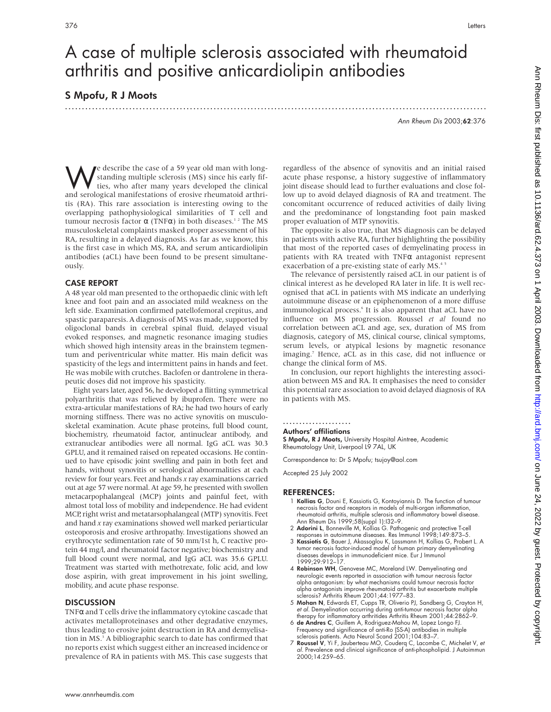# A case of multiple sclerosis associated with rheumatoid arthritis and positive anticardiolipin antibodies

### S Mpofu, R J Moots

.............................................................................................................................

Ann Rheum Dis 2003;62:376

We describe the case of a 59 year old man with long-<br>standing multiple sclerosis (MS) since his early fif-<br>ties, who after many years developed the clinical<br>and serological manifestations of erosive rheumatoid arthristanding multiple sclerosis (MS) since his early fifand serological manifestations of erosive rheumatoid arthritis (RA). This rare association is interesting owing to the overlapping pathophysiological similarities of T cell and tumour necrosis factor α (TNFα) in both diseases.<sup>12</sup> The MS musculoskeletal complaints masked proper assessment of his RA, resulting in a delayed diagnosis. As far as we know, this is the first case in which MS, RA, and serum anticardiolipin antibodies (aCL) have been found to be present simultaneously.

#### CASE REPORT

A 48 year old man presented to the orthopaedic clinic with left knee and foot pain and an associated mild weakness on the left side. Examination confirmed patellofemoral crepitus, and spastic paraparesis. A diagnosis of MS was made, supported by oligoclonal bands in cerebral spinal fluid, delayed visual evoked responses, and magnetic resonance imaging studies which showed high intensity areas in the brainstem tegmentum and periventricular white matter. His main deficit was spasticity of the legs and intermittent pains in hands and feet. He was mobile with crutches. Baclofen or dantrolene in therapeutic doses did not improve his spasticity.

Eight years later, aged 56, he developed a flitting symmetrical polyarthritis that was relieved by ibuprofen. There were no extra-articular manifestations of RA; he had two hours of early morning stiffness. There was no active synovitis on musculoskeletal examination. Acute phase proteins, full blood count, biochemistry, rheumatoid factor, antinuclear antibody, and extranuclear antibodies were all normal. IgG aCL was 30.3 GPLU, and it remained raised on repeated occasions. He continued to have episodic joint swelling and pain in both feet and hands, without synovitis or serological abnormalities at each review for four years. Feet and hands *x* ray examinations carried out at age 57 were normal. At age 59, he presented with swollen metacarpophalangeal (MCP) joints and painful feet, with almost total loss of mobility and independence. He had evident MCP, right wrist and metatarsophalangeal (MTP) synovitis. Feet and hand *x* ray examinations showed well marked periarticular osteoporosis and erosive arthropathy. Investigations showed an erythrocyte sedimentation rate of 50 mm/1st h, C reactive protein 44 mg/l, and rheumatoid factor negative; biochemistry and full blood count were normal, and IgG aCL was 35.6 GPLU. Treatment was started with methotrexate, folic acid, and low dose aspirin, with great improvement in his joint swelling, mobility, and acute phase response.

#### **DISCUSSION**

 $TNF\alpha$  and  $T$  cells drive the inflammatory cytokine cascade that activates metalloproteinases and other degradative enzymes, thus leading to erosive joint destruction in RA and demyelisation in MS.<sup>3</sup> A bibliographic search to date has confirmed that no reports exist which suggest either an increased incidence or prevalence of RA in patients with MS. This case suggests that

regardless of the absence of synovitis and an initial raised acute phase response, a history suggestive of inflammatory joint disease should lead to further evaluations and close follow up to avoid delayed diagnosis of RA and treatment. The concomitant occurrence of reduced activities of daily living and the predominance of longstanding foot pain masked proper evaluation of MTP synovitis.

The opposite is also true, that MS diagnosis can be delayed in patients with active RA, further highlighting the possibility that most of the reported cases of demyelinating process in patients with RA treated with TNFα antagonist represent exacerbation of a pre-existing state of early MS.<sup>4</sup>

The relevance of persistently raised aCL in our patient is of clinical interest as he developed RA later in life. It is well recognised that aCL in patients with MS indicate an underlying autoimmune disease or an epiphenomenon of a more diffuse immunological process.<sup>6</sup> It is also apparent that aCL have no influence on MS progression. Roussel *et al* found no correlation between aCL and age, sex, duration of MS from diagnosis, category of MS, clinical course, clinical symptoms, serum levels, or atypical lesions by magnetic resonance imaging.<sup>7</sup> Hence, aCL as in this case, did not influence or change the clinical form of MS.

In conclusion, our report highlights the interesting association between MS and RA. It emphasises the need to consider this potential rare association to avoid delayed diagnosis of RA in patients with MS.

#### .....................

Authors' affiliations

S Mpofu, R J Moots, University Hospital Aintree, Academic Rheumatology Unit, Liverpool L9 7AL, UK

Correspondence to: Dr S Mpofu; tsujoy@aol.com

Accepted 25 July 2002

- 1 Kollias G, Douni E, Kassiotis G, Kontoyiannis D. The function of tumour necrosis factor and receptors in models of multi-organ inflammation, rheumatoid arthritis, multiple sclerosis and inflammatory bowel disease. Ann Rheum Dis 1999;58(suppl 1):I32–9.
- 2 Adorini L, Bonneville M, Kollias G. Pathogenic and protective T-cell
- responses in autoimmune diseases. Res Immunol 1998;149:873–5.<br>3 **Kassiotis G**, Bauer J, Akassoglou K, Lassmann H, Kollias G, Probert L. A<br>tumor necrosis factor-induced model of human primary demyelinating diseases develops in immunodeficient mice. Eur J Immunol 1999;29:912–17.
- 4 Robinson WH, Genovese MC, Moreland LW. Demyelinating and neurologic events reported in association with tumour necrosis factor alpha antagonism: by what mechanisms could tumour necrosis factor alpha antagonists improve rheumatoid arthritis but exacerbate multiple sclerosis? Arthritis Rheum 2001;44:1977–83.
- 5 Mohan N, Edwards ET, Cupps TR, Oliverio PJ, Sandberg G, Crayton H, et al. Demyelination occurring during anti-tumour necrosis factor alpha therapy for inflammatory arthritides Arthritis Rheum 2001;44:2862–9.
- 6 de Andres C, Guillem A, Rodriguez-Mahou M, Lopez Longo FJ. Frequency and significance of anti-Ro (SS-A) antibodies in multiple sclerosis patients. Acta Neurol Scand 2001;104:83–7.
- Roussel V, Yi F, Jauberteau MO, Couderq C, Lacombe C, Michelet V, et al. Prevalence and clinical significance of anti-phospholipid. J Autoimmun 2000;14:259–65.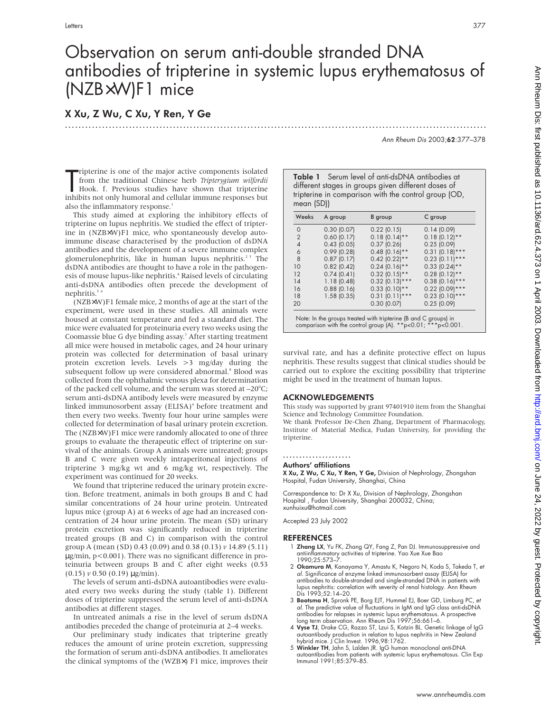# Observation on serum anti-double stranded DNA antibodies of tripterine in systemic lupus erythematosus of (NZB×W)F1 mice

.............................................................................................................................

### X Xu, Z Wu, C Xu, Y Ren, Y Ge

Ann Rheum Dis 2003;62:377–378

Tripterine is one of the major active components isolated<br>from the traditional Chinese herb *Tripterygium wilfordii*<br>Hook. f. Previous studies have shown that tripterine<br>inhibits not only humoral and cellular immune respon ripterine is one of the major active components isolated from the traditional Chinese herb *Tripterygium wilfordii* Hook. f. Previous studies have shown that tripterine also the inflammatory response.<sup>1</sup>

This study aimed at exploring the inhibitory effects of tripterine on lupus nephritis. We studied the effect of tripterine in (NZB×W)F1 mice, who spontaneously develop autoimmune disease characterised by the production of dsDNA antibodies and the development of a severe immune complex glomerulonephritis, like in human lupus nephritis.<sup>23</sup> The dsDNA antibodies are thought to have a role in the pathogenesis of mouse lupus-like nephritis.<sup>4</sup> Raised levels of circulating anti-dsDNA antibodies often precede the development of nephritis.<sup>5</sup><sup>6</sup>

(NZB×W)F1 female mice, 2 months of age at the start of the experiment, were used in these studies. All animals were housed at constant temperature and fed a standard diet. The mice were evaluated for proteinuria every two weeks using the Coomassie blue G dye binding assay.<sup>7</sup> After starting treatment all mice were housed in metabolic cages, and 24 hour urinary protein was collected for determination of basal urinary protein excretion levels. Levels >3 mg/day during the subsequent follow up were considered abnormal.<sup>8</sup> Blood was collected from the ophthalmic venous plexa for determination of the packed cell volume, and the serum was stored at –20°C; serum anti-dsDNA antibody levels were measured by enzyme linked immunosorbent assay (ELISA)<sup>9</sup> before treatment and then every two weeks. Twenty four hour urine samples were collected for determination of basal urinary protein excretion. The (NZB×W)F1 mice were randomly allocated to one of three groups to evaluate the therapeutic effect of tripterine on survival of the animals. Group A animals were untreated; groups B and C were given weekly intraperitoneal injections of tripterine 3 mg/kg wt and 6 mg/kg wt, respectively. The experiment was continued for 20 weeks.

We found that tripterine reduced the urinary protein excretion. Before treatment, animals in both groups B and C had similar concentrations of 24 hour urine protein. Untreated lupus mice (group A) at 6 weeks of age had an increased concentration of 24 hour urine protein. The mean (SD) urinary protein excretion was significantly reduced in tripterine treated groups (B and C) in comparison with the control group A (mean (SD) 0.43 (0.09) and 0.38 (0.13) *v* 14.89 (5.11) µg/min, p<0.001). There was no significant difference in proteinuria between groups B and C after eight weeks (0.53  $(0.15)$   $v$  0.50  $(0.19)$   $\mu$ g/min).

The levels of serum anti-dsDNA autoantibodies were evaluated every two weeks during the study (table 1). Different doses of tripterine suppressed the serum level of anti-dsDNA antibodies at different stages.

In untreated animals a rise in the level of serum dsDNA antibodies preceded the change of proteinuria at 2–4 weeks.

Our preliminary study indicates that tripterine greatly reduces the amount of urine protein excretion, suppressing the formation of serum anti-dsDNA antibodies. It ameliorates the clinical symptoms of the (WZB×) F1 mice, improves their

Table 1 Serum level of anti-dsDNA antibodies at different stages in groups given different doses of tripterine in comparison with the control group (OD, mean (SD))

| Weeks          | A group         | <b>B</b> group      | C group             |
|----------------|-----------------|---------------------|---------------------|
| $\Omega$       | 0.30(0.07)      | $0.22$ (0.15)       | 0.14(0.09)          |
| $\overline{2}$ | $0.60$ $(0.17)$ | $0.18(0.14)$ **     | $0.18$ $(0.12)$ **  |
| $\overline{4}$ | $0.43$ (0.05)   | 0.37(0.26)          | 0.25(0.09)          |
| 6              | 0.99(0.28)      | $0.48$ $(0.16)$ **  | $0.31(0.18)***$     |
| 8              | 0.87(0.17)      | $0.42$ (0.22)**     | $0.23$ $(0.11)$ *** |
| 10             | $0.82$ (0.42)   | $0.24$ (0.16)**     | $0.33$ $(0.24)$ **  |
| 12             | 0.74(0.41)      | $0.32$ $(0.15)$ **  | $0.28$ $(0.12)$ **  |
| 14             | 1.18(0.48)      | $0.32$ $(0.13)$ *** | $0.38$ $(0.16)$ *** |
| 16             | $0.88$ (0.16)   | $0.33$ (0.10)**     | $0.22$ (0.09)***    |
| 18             | 1.58(0.35)      | $0.31(0.11)****$    | $0.23$ $(0.10)***$  |
| 20             |                 | 0.30(0.07)          | 0.25(0.09)          |

survival rate, and has a definite protective effect on lupus nephritis. These results suggest that clinical studies should be carried out to explore the exciting possibility that tripterine might be used in the treatment of human lupus.

#### ACKNOWLEDGEMENTS

This study was supported by grant 97401910 item from the Shanghai Science and Technology Committee Foundation.

We thank Professor De-Chen Zhang, Department of Pharmacology, Institute of Material Medica, Fudan University, for providing the tripterine.

#### .....................

#### Authors' affiliations

X Xu, Z Wu, C Xu, Y Ren, Y Ge, Division of Nephrology, Zhongshan Hospital, Fudan University, Shanghai, China

Correspondence to: Dr X Xu, Division of Nephrology, Zhongshan Hospital , Fudan University, Shanghai 200032, China; xunhuixu@hotmail.com

Accepted 23 July 2002

- 1 Zhang LX, Yu FK, Zhang QY, Fang Z, Pan DJ. Immunosuppressive and antiinflammatory activities of tripterine. Yao Xue Xue Bao 1990;25:573–7.
- 2 Okamura M, Kanayama Y, Amastu K, Negoro N, Koda S, Takeda T, et al. Significance of enzyme linked immunosorbent assay (ELISA) for antibodies to double-stranded and single-stranded DNA in patients with lupus nephritis: correlation with severity of renal histology. Ann Rheum Dis 1993;52:14–20.
- 3 Bootsma H, Spronk PE, Borg EJT, Hummel EJ, Boer GD, Limburg PC, et al. The predictive value of fluctuations in IgM and IgG class anti-dsDNA antibodies for relapses in systemic lupus erythematosus. A prospective long term observation. Ann Rheum Dis 1997;56:661–6.
- 4 Vyse TJ, Drake CG, Razzo ST, Lzui S, Kotzin BL. Genetic linkage of IgG autoantibody production in relation to lupus nephritis in New Zealand hybrid mice. J Clin Invest. 1996,98:1762.
- 5 Winkler TH, Jahn S, Lalden JR. IgG human monoclonal anti-DNA autoantibodies from patients with systemic lupus erythematosus. Clin Exp Immunol 1991;85:379–85.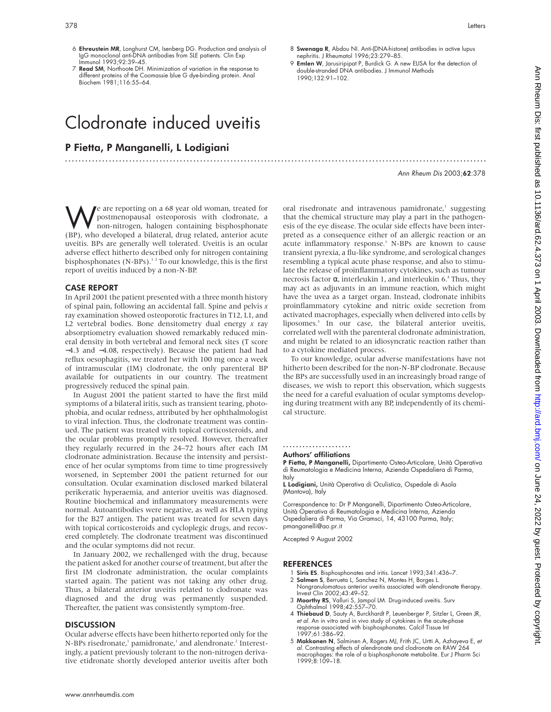- 6 Ehreustein MR, Longhurst CM, Isenberg DG. Production and analysis of IgG monoclonal anti-DNA antibodies from SLE patients. Clin Exp Immunol 1993;92:39–45.
- 7 Read SM, Northoote DH. Minimization of variation in the response to different proteins of the Coomassie blue G dye-binding protein. Anal Biochem 1981;116:55–64.

# Clodronate induced uveitis

### P Fietta, P Manganelli, L Lodigiani

- 8 Swenaga R, Abdou NI. Anti-(DNA-histone) antibodies in active lupus nephritis. J Rheumatol 1996;23:279–85.
- 9 Emlen W, Jarusiripipat P, Burdick G. A new ELISA for the detection of double-stranded DNA antibodies. J Immunol Methods 1990;132:91–102.

Ann Rheum Dis 2003;62:378

We are reporting on a 68 year old woman, treated for<br>non-nitrogen, halogen containing bisphosphonate<br>(BP) who developed a bilateral drug related anterior acute postmenopausal osteoporosis with clodronate, a (BP), who developed a bilateral, drug related, anterior acute uveitis. BPs are generally well tolerated. Uveitis is an ocular adverse effect hitherto described only for nitrogen containing bisphosphonates (N-BPs).<sup>12</sup> To our knowledge, this is the first report of uveitis induced by a non-N-BP.

#### CASE REPORT

In April 2001 the patient presented with a three month history of spinal pain, following an accidental fall. Spine and pelvis *x* ray examination showed osteoporotic fractures in T12, L1, and L2 vertebral bodies. Bone densitometry dual energy *x* ray absorptiometry evaluation showed remarkably reduced mineral density in both vertebral and femoral neck sites (T score −4.3 and −4.08, respectively). Because the patient had had reflux oesophagitis, we treated her with 100 mg once a week of intramuscular (IM) clodronate, the only parenteral BP available for outpatients in our country. The treatment progressively reduced the spinal pain.

In August 2001 the patient started to have the first mild symptoms of a bilateral iritis, such as transient tearing, photophobia, and ocular redness, attributed by her ophthalmologist to viral infection. Thus, the clodronate treatment was continued. The patient was treated with topical corticosteroids, and the ocular problems promptly resolved. However, thereafter they regularly recurred in the 24–72 hours after each IM clodronate administration. Because the intensity and persistence of her ocular symptoms from time to time progressively worsened, in September 2001 the patient returned for our consultation. Ocular examination disclosed marked bilateral perikeratic hyperaemia, and anterior uveitis was diagnosed. Routine biochemical and inflammatory measurements were normal. Autoantibodies were negative, as well as HLA typing for the B27 antigen. The patient was treated for seven days with topical corticosteroids and cycloplegic drugs, and recovered completely. The clodronate treatment was discontinued and the ocular symptoms did not recur.

In January 2002, we rechallenged with the drug, because the patient asked for another course of treatment, but after the first IM clodronate administration, the ocular complaints started again. The patient was not taking any other drug. Thus, a bilateral anterior uveitis related to clodronate was diagnosed and the drug was permanently suspended. Thereafter, the patient was consistently symptom-free.

#### **DISCUSSION**

Ocular adverse effects have been hitherto reported only for the N-BPs risedronate,<sup>1</sup> pamidronate,<sup>1</sup> and alendronate.<sup>2</sup> Interestingly, a patient previously tolerant to the non-nitrogen derivative etidronate shortly developed anterior uveitis after both oral risedronate and intravenous pamidronate,<sup>1</sup> suggesting that the chemical structure may play a part in the pathogenesis of the eye disease. The ocular side effects have been interpreted as a consequence either of an allergic reaction or an acute inflammatory response.<sup>3</sup> N-BPs are known to cause transient pyrexia, a flu-like syndrome, and serological changes resembling a typical acute phase response, and also to stimulate the release of proinflammatory cytokines, such as tumour necrosis factor α, interleukin 1, and interleukin 6.<sup>4</sup> Thus, they may act as adjuvants in an immune reaction, which might have the uvea as a target organ. Instead, clodronate inhibits proinflammatory cytokine and nitric oxide secretion from activated macrophages, especially when delivered into cells by liposomes.<sup>5</sup> In our case, the bilateral anterior uveitis, correlated well with the parenteral clodronate administration, and might be related to an idiosyncratic reaction rather than to a cytokine mediated process.

To our knowledge, ocular adverse manifestations have not hitherto been described for the non-N-BP clodronate. Because the BPs are successfully used in an increasingly broad range of diseases, we wish to report this observation, which suggests the need for a careful evaluation of ocular symptoms developing during treatment with any BP, independently of its chemical structure.

#### ..................... Authors' affiliations

.............................................................................................................................

P Fietta, P Manganelli, Dipartimento Osteo-Articolare, Unità Operativa di Reumatologia e Medicina Interna, Azienda Ospedaliera di Parma, Italy

L Lodigiani, Unità Operativa di Oculistica, Ospedale di Asola (Mantova), Italy

Correspondence to: Dr P Manganelli, Dipartimento Osteo-Articolare, Unità Operativa di Reumatologia e Medicina Interna, Azienda Ospedaliera di Parma, Via Gramsci, 14, 43100 Parma, Italy; pmanganelli@ao.pr.it

Accepted 9 August 2002

- 1 Siris ES. Bisphosphonates and iritis. Lancet 1993;341:436–7. 2 Salmen S, Berrueta L, Sanchez N, Montes H, Borges L.
- Nongranulomatous anterior uveitis associated with alendronate therapy. Invest Clin 2002;43:49–52.
- 3 Moorthy RS, Valluri S, Jampol LM. Drug-induced uveitis. Surv Ophthalmol 1998;42:557–70.
- 4 Thiebaud D, Sauty A, Burckhardt P, Leuenberger P, Sitzler L, Green JR, et al. An in vitro and in vivo study of cytokines in the acute-phase response associated with bisphosphonates. Calcif Tissue Int 1997;61:386–92.
- 5 Makkonen N, Salminen A, Rogers MJ, Frith JC, Urtti A, Azhayeva E, et al. Contrasting effects of alendronate and clodronate on RAW 264 macrophages: the role of a bisphosphonate metabolite. Eur J Pharm Sci 1999;8:109–18.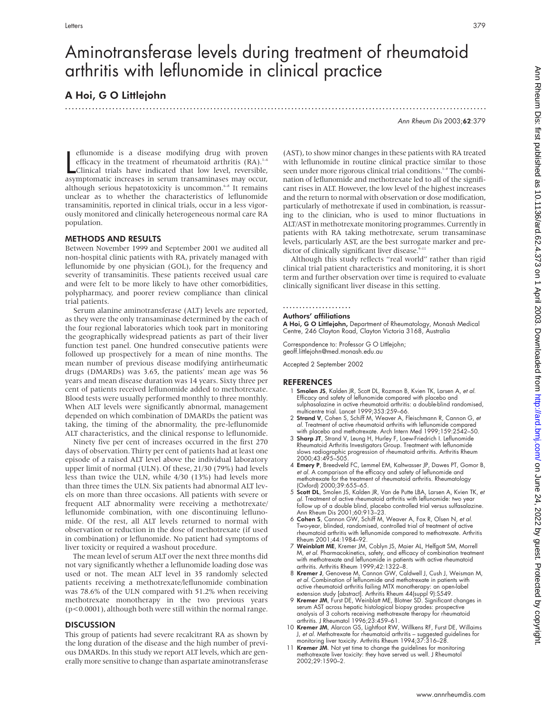# Aminotransferase levels during treatment of rheumatoid arthritis with leflunomide in clinical practice

# A Hoi, G O Littlejohn

### .............................................................................................................................

Ann Rheum Dis 2003;62:379

eflunomide is a disease modifying drug with proven<br>efficacy in the treatment of rheumatoid arthritis (RA).<sup>1-6</sup><br>Clinical trials have indicated that low level, reversible,<br>asymptomatic increases in serum transaminases may o eflunomide is a disease modifying drug with proven efficacy in the treatment of rheumatoid arthritis (RA).<sup>1-6</sup> Clinical trials have indicated that low level, reversible, although serious hepatotoxicity is uncommon. $6-8$  It remains unclear as to whether the characteristics of leflunomide transaminitis, reported in clinical trials, occur in a less vigorously monitored and clinically heterogeneous normal care RA population.

#### METHODS AND RESULTS

Between November 1999 and September 2001 we audited all non-hospital clinic patients with RA, privately managed with leflunomide by one physician (GOL), for the frequency and severity of transaminitis. These patients received usual care and were felt to be more likely to have other comorbidities, polypharmacy, and poorer review compliance than clinical trial patients.

Serum alanine aminotransferase (ALT) levels are reported, as they were the only transaminase determined by the each of the four regional laboratories which took part in monitoring the geographically widespread patients as part of their liver function test panel. One hundred consecutive patients were followed up prospectively for a mean of nine months. The mean number of previous disease modifying antirheumatic drugs (DMARDs) was 3.65, the patients' mean age was 56 years and mean disease duration was 14 years. Sixty three per cent of patients received leflunomide added to methotrexate. Blood tests were usually performed monthly to three monthly. When ALT levels were significantly abnormal, management depended on which combination of DMARDs the patient was taking, the timing of the abnormality, the pre-leflunomide ALT characteristics, and the clinical response to leflunomide.

Ninety five per cent of increases occurred in the first 270 days of observation. Thirty per cent of patients had at least one episode of a raised ALT level above the individual laboratory upper limit of normal (ULN). Of these, 21/30 (79%) had levels less than twice the ULN, while 4/30 (13%) had levels more than three times the ULN. Six patients had abnormal ALT levels on more than three occasions. All patients with severe or frequent ALT abnormality were receiving a methotrexate/ leflunomide combination, with one discontinuing leflunomide. Of the rest, all ALT levels returned to normal with observation or reduction in the dose of methotrexate (if used in combination) or leflunomide. No patient had symptoms of liver toxicity or required a washout procedure.

The mean level of serum ALT over the next three months did not vary significantly whether a leflunomide loading dose was used or not. The mean ALT level in 35 randomly selected patients receiving a methotrexate/leflunomide combination was 78.6% of the ULN compared with 51.2% when receiving methotrexate monotherapy in the two previous years (p<0.0001), although both were still within the normal range.

#### **DISCUSSION**

This group of patients had severe recalcitrant RA as shown by the long duration of the disease and the high number of previous DMARDs. In this study we report ALT levels, which are generally more sensitive to change than aspartate aminotransferase

(AST), to show minor changes in these patients with RA treated with leflunomide in routine clinical practice similar to those seen under more rigorous clinical trial conditions.<sup>1-8</sup> The combination of leflunomide and methotrexate led to all of the significant rises in ALT. However, the low level of the highest increases and the return to normal with observation or dose modification, particularly of methotrexate if used in combination, is reassuring to the clinician, who is used to minor fluctuations in ALT/AST in methotrexate monitoring programmes. Currently in patients with RA taking methotrexate, serum transaminase levels, particularly AST, are the best surrogate marker and predictor of clinically significant liver disease. $9-11$ 

Although this study reflects "real world" rather than rigid clinical trial patient characteristics and monitoring, it is short term and further observation over time is required to evaluate clinically significant liver disease in this setting.

#### .....................

#### Authors' affiliations

A Hoi, G O Littlejohn, Department of Rheumatology, Monash Medical Centre, 246 Clayton Road, Clayton Victoria 3168, Australia

Correspondence to: Professor G O Littlejohn; geoff.littlejohn@med.monash.edu.au

Accepted 2 September 2002

- Smolen JS, Kalden JR, Scott DL, Rozman B, Kvien TK, Larsen A, et al. Efficacy and safety of leflunomide compared with placebo and sulphasalazine in active rheumatoid arthritis: a double-blind randomised, multicentre trial. Lancet 1999;353:259–66.
- 2 Strand V, Cohen S, Schiff M, Weaver A, Fleischmann R, Cannon G, et al. Treatment of active rheumatoid arthritis with leflunomide compared with placebo and methotrexate. Arch Intern Med 1999;159:2542–50.
- 3 Sharp JT, Strand V, Leung H, Hurley F, Loew-Friedrich I. Leflunomide Rheumatoid Arthritis Investigators Group. Treatment with leflunomide slows radiographic progression of rheumatoid arthritis. Arthritis Rheum 2000;43:495–505.
- 4 Emery P, Breedveld FC, Lemmel EM, Kaltwasser JP, Dawes PT, Gomor B, et al. A comparison of the efficacy and safety of leflunomide and methotrexate for the treatment of rheumatoid arthritis. Rheumatology
- (Oxford) 2000;39:655–65.<br>5 **Scott DL**, Smolen JS, Kalden JR, Van de Putte LBA, Larsen A, Kvien TK, *et* al. Treatment of active rheumatoid arthritis with leflunomide: two year follow up of a double blind, placebo controlled trial versus sulfasalazine. Ann Rheum Dis 2001;60:913–23.
- 6 Cohen S, Cannon GW, Schiff M, Weaver A, Fox R, Olsen N, et al. Two-year, blinded, randomised, controlled trial of treatment of active rheumatoid arthritis with leflunomide compared to methotrexate. Arthritis Rheum 2001;44:1984–92.
- 7 Weinblatt ME, Kremer JM, Coblyn JS, Maier AL, Helfgott SM, Morrell M, et al. Pharmacokinetics, safety, and efficacy of combination treatment with methotrexate and leflunomide in patients with active rheumatoid arthritis. Arthritis Rheum 1999;42:1322–8.
- 8 Kremer J, Genovese M, Cannon GW, Caldwell J, Cush J, Weisman M, et al. Combination of leflunomide and methotrexate in patients with active rheumatoid arthritis failing MTX monotherapy: an open-label extension study [abstract]. Arthritis Rheum 44(suppl 9):S549.
- 9 Kremer JM, Furst DE, Weinblatt ME, Blotner SD. Significant changes in serum AST across hepatic histological biopsy grades: prospective analysis of 3 cohorts receiving methotrexate therapy for rheumatoid arthritis. J Rheumatol 1996;23:459–61.
- 10 Kremer JM, Alarcon GS, Lightfoot RW, Willkens RF, Furst DE, Willaims J, et al. Methotrexate for rheumatoid arthritis suggested guidelines for monitoring liver toxicity. Arthritis Rheum 1994;37:316-28
- 11 Kremer JM. Not yet time to change the guidelines for monitoring methotrexate liver toxicity: they have served us well. J Rheumatol 2002;29:1590–2.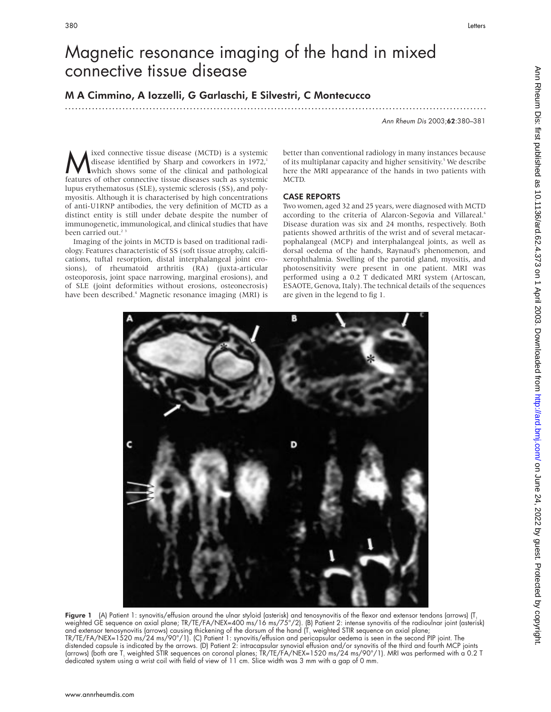# Magnetic resonance imaging of the hand in mixed connective tissue disease

.............................................................................................................................

### M A Cimmino, A Iozzelli, G Garlaschi, E Silvestri, C Montecucco

Ann Rheum Dis 2003;62:380–381

Mixed connective tissue disease (MCTD) is a systemic<br>disease identified by Sharp and coworkers in 1972,<sup>1</sup><br>features of other connective tissue diseases such as systemic disease identified by Sharp and coworkers in 1972,<sup>1</sup> which shows some of the clinical and pathological features of other connective tissue diseases such as systemic lupus erythematosus (SLE), systemic sclerosis (SS), and polymyositis. Although it is characterised by high concentrations of anti-U1RNP antibodies, the very definition of MCTD as a distinct entity is still under debate despite the number of immunogenetic, immunological, and clinical studies that have been carried out.<sup>2</sup>

Imaging of the joints in MCTD is based on traditional radiology. Features characteristic of SS (soft tissue atrophy, calcifications, tuftal resorption, distal interphalangeal joint erosions), of rheumatoid arthritis (RA) (juxta-articular osteoporosis, joint space narrowing, marginal erosions), and of SLE (joint deformities without erosions, osteonecrosis) have been described.<sup>4</sup> Magnetic resonance imaging (MRI) is

better than conventional radiology in many instances because of its multiplanar capacity and higher sensitivity.<sup>5</sup> We describe here the MRI appearance of the hands in two patients with MCTD.

#### CASE REPORTS

Two women, aged 32 and 25 years, were diagnosed with MCTD according to the criteria of Alarcon-Segovia and Villareal.<sup>6</sup> Disease duration was six and 24 months, respectively. Both patients showed arthritis of the wrist and of several metacarpophalangeal (MCP) and interphalangeal joints, as well as dorsal oedema of the hands, Raynaud's phenomenon, and xerophthalmia. Swelling of the parotid gland, myositis, and photosensitivity were present in one patient. MRI was performed using a 0.2 T dedicated MRI system (Artoscan, ESAOTE, Genova, Italy). The technical details of the sequences are given in the legend to fig 1.



Figure 1 (A) Patient 1: synovitis/effusion around the ulnar styloid (asterisk) and tenosynovitis of the flexor and extensor tendons (arrows)  $[T_1]$ weighted GE sequence on axial plane; TR/TE/FA/NEX=400 ms/16 ms/75°/2). (B) Patient 2: intense synovitis of the radioulnar joint (asterisk) and extensor tenosynovitis (arrows) causing thickening of the dorsum of the hand (T $_{\rm I}$  weighted STIR sequence on axial plane; TR/TE/FA/NEX=1520 ms/24 ms/90°/1). (C) Patient 1: synovitis/effusion and pericapsular oedema is seen in the second PIP joint. The distended capsule is indicated by the arrows. (D) Patient 2: intracapsular synovial effusion and/or synovitis of the third and fourth MCP joints (arrows) (both are T<sub>1</sub> weighted STIR sequences on coronal planes; TR/TE/FA/NEX=1520 ms/24 ms/90°/1). MRI was performed with a 0.2 T dedicated system using a wrist coil with field of view of 11 cm. Slice width was 3 mm with a gap of 0 mm.